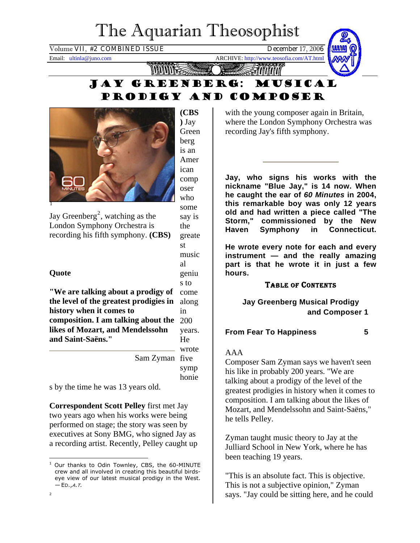# The Aquarian Theosophist

Volume VII, #2 COMBINED ISSUE December 17, 2006

Email: ultinla@juno.com ARCHIVE: http://www.teosofia.com/AT.html



Jay Greenberg: musical prodigy and composer

> say is the greate st music al geniu s to



Jay Greenberg<sup>[2](#page-0-0)</sup>, watching as the London Symphony Orchestra is recording his fifth symphony. **(CBS)**

# **Quote**

<span id="page-0-0"></span> $\overline{2}$ 

come along in 200 **composition. I am talking about the**  years. He **"We are talking about a prodigy of the level of the greatest prodigies in history when it comes to likes of Mozart, and Mendelssohn and Saint-Saëns."** 

> wrote Sam Zyman five symp honie

s by the time he was 13 years old.

**Correspondent Scott Pelley** first met Jay two years ago when his works were being performed on stage; the story was seen by executives at Sony BMG, who signed Jay as a recording artist. Recently, Pelley caught up with the young composer again in Britain, where the London Symphony Orchestra was recording Jay's fifth symphony.

**Jay, who signs his works with the nickname "Blue Jay," is 14 now. When he caught the ear of** *60 Minutes* **in 2004, this remarkable boy was only 12 years old and had written a piece called "The Storm," commissioned by the New Haven Symphony in Connecticut.** 

**He wrote every note for each and every instrument — and the really amazing part is that he wrote it in just a few hours.** 

# TABLE OF CONTENTS

**Jay Greenberg Musical Prodigy and Composer 1** 

## **From Fear To Happiness 5**

## AAA

Composer Sam Zyman says we haven't seen his like in probably 200 years. "We are talking about a prodigy of the level of the greatest prodigies in history when it comes to composition. I am talking about the likes of Mozart, and Mendelssohn and Saint-Saëns," he tells Pelley.

Zyman taught music theory to Jay at the Julliard School in New York, where he has been teaching 19 years.

"This is an absolute fact. This is objective. This is not a subjective opinion," Zyman says. "Jay could be sitting here, and he could

 $\overline{a}$ <sup>1</sup> Our thanks to Odin Townley, CBS, the 60-MINUTE crew and all involved in creating this beautiful birdseye view of our latest musical prodigy in the West.  $-ED.A.T.$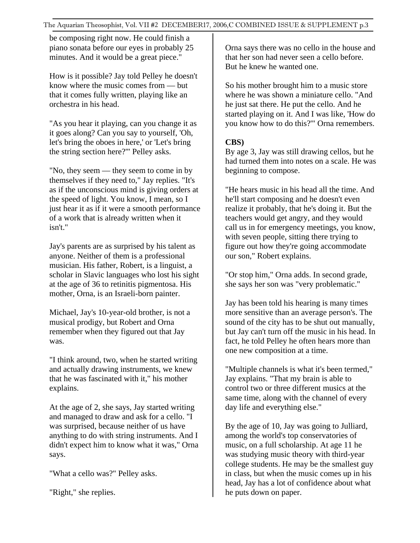be composing right now. He could finish a piano sonata before our eyes in probably 25 minutes. And it would be a great piece."

How is it possible? Jay told Pelley he doesn't know where the music comes from — but that it comes fully written, playing like an orchestra in his head.

"As you hear it playing, can you change it as it goes along? Can you say to yourself, 'Oh, let's bring the oboes in here,' or 'Let's bring the string section here?'" Pelley asks.

"No, they seem — they seem to come in by themselves if they need to," Jay replies. "It's as if the unconscious mind is giving orders at the speed of light. You know, I mean, so I just hear it as if it were a smooth performance of a work that is already written when it isn't."

Jay's parents are as surprised by his talent as anyone. Neither of them is a professional musician. His father, Robert, is a linguist, a scholar in Slavic languages who lost his sight at the age of 36 to retinitis pigmentosa. His mother, Orna, is an Israeli-born painter.

Michael, Jay's 10-year-old brother, is not a musical prodigy, but Robert and Orna remember when they figured out that Jay was.

"I think around, two, when he started writing and actually drawing instruments, we knew that he was fascinated with it," his mother explains.

At the age of 2, she says, Jay started writing and managed to draw and ask for a cello. "I was surprised, because neither of us have anything to do with string instruments. And I didn't expect him to know what it was," Orna says.

"What a cello was?" Pelley asks.

"Right," she replies.

Orna says there was no cello in the house and that her son had never seen a cello before. But he knew he wanted one.

So his mother brought him to a music store where he was shown a miniature cello. "And he just sat there. He put the cello. And he started playing on it. And I was like, 'How do you know how to do this?'" Orna remembers.

# **CBS)**

By age 3, Jay was still drawing cellos, but he had turned them into notes on a scale. He was beginning to compose.

"He hears music in his head all the time. And he'll start composing and he doesn't even realize it probably, that he's doing it. But the teachers would get angry, and they would call us in for emergency meetings, you know, with seven people, sitting there trying to figure out how they're going accommodate our son," Robert explains.

"Or stop him," Orna adds. In second grade, she says her son was "very problematic."

Jay has been told his hearing is many times more sensitive than an average person's. The sound of the city has to be shut out manually, but Jay can't turn off the music in his head. In fact, he told Pelley he often hears more than one new composition at a time.

"Multiple channels is what it's been termed," Jay explains. "That my brain is able to control two or three different musics at the same time, along with the channel of every day life and everything else."

By the age of 10, Jay was going to Julliard, among the world's top conservatories of music, on a full scholarship. At age 11 he was studying music theory with third-year college students. He may be the smallest guy in class, but when the music comes up in his head, Jay has a lot of confidence about what he puts down on paper.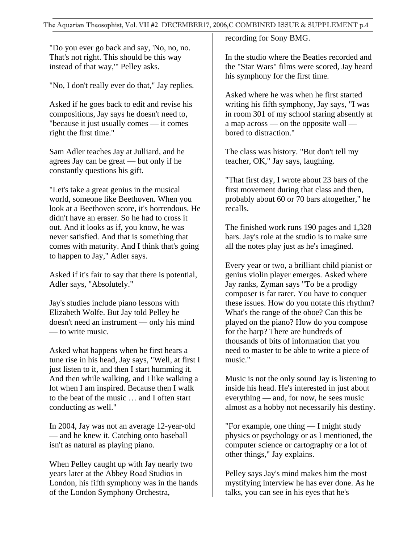"Do you ever go back and say, 'No, no, no. That's not right. This should be this way instead of that way,'" Pelley asks.

"No, I don't really ever do that," Jay replies.

Asked if he goes back to edit and revise his compositions, Jay says he doesn't need to, "because it just usually comes — it comes right the first time."

Sam Adler teaches Jay at Julliard, and he agrees Jay can be great — but only if he constantly questions his gift.

"Let's take a great genius in the musical world, someone like Beethoven. When you look at a Beethoven score, it's horrendous. He didn't have an eraser. So he had to cross it out. And it looks as if, you know, he was never satisfied. And that is something that comes with maturity. And I think that's going to happen to Jay," Adler says.

Asked if it's fair to say that there is potential, Adler says, "Absolutely."

Jay's studies include piano lessons with Elizabeth Wolfe. But Jay told Pelley he doesn't need an instrument — only his mind — to write music.

Asked what happens when he first hears a tune rise in his head, Jay says, "Well, at first I just listen to it, and then I start humming it. And then while walking, and I like walking a lot when I am inspired. Because then I walk to the beat of the music … and I often start conducting as well."

In 2004, Jay was not an average 12-year-old — and he knew it. Catching onto baseball isn't as natural as playing piano.

When Pelley caught up with Jay nearly two years later at the Abbey Road Studios in London, his fifth symphony was in the hands of the London Symphony Orchestra,

recording for Sony BMG.

In the studio where the Beatles recorded and the "Star Wars" films were scored, Jay heard his symphony for the first time.

Asked where he was when he first started writing his fifth symphony, Jay says, "I was in room 301 of my school staring absently at a map across — on the opposite wall bored to distraction."

The class was history. "But don't tell my teacher, OK," Jay says, laughing.

"That first day, I wrote about 23 bars of the first movement during that class and then, probably about 60 or 70 bars altogether," he recalls.

The finished work runs 190 pages and 1,328 bars. Jay's role at the studio is to make sure all the notes play just as he's imagined.

Every year or two, a brilliant child pianist or genius violin player emerges. Asked where Jay ranks, Zyman says "To be a prodigy composer is far rarer. You have to conquer these issues. How do you notate this rhythm? What's the range of the oboe? Can this be played on the piano? How do you compose for the harp? There are hundreds of thousands of bits of information that you need to master to be able to write a piece of music."

Music is not the only sound Jay is listening to inside his head. He's interested in just about everything — and, for now, he sees music almost as a hobby not necessarily his destiny.

"For example, one thing — I might study physics or psychology or as I mentioned, the computer science or cartography or a lot of other things," Jay explains.

Pelley says Jay's mind makes him the most mystifying interview he has ever done. As he talks, you can see in his eyes that he's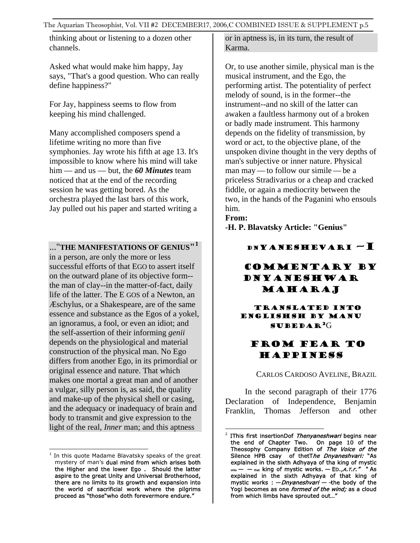thinking about or listening to a dozen other channels.

Asked what would make him happy, Jay says, "That's a good question. Who can really define happiness?"

For Jay, happiness seems to flow from keeping his mind challenged.

Many accomplished composers spend a lifetime writing no more than five symphonies. Jay wrote his fifth at age 13. It's impossible to know where his mind will take him — and us — but, the *60 Minutes* team noticed that at the end of the recording session he was getting bored. As the orchestra played the last bars of this work, Jay pulled out his paper and started writing a

..."**THE MANIFESTATIONS OF GENIUS"[1](#page-3-0)**

in a person, are only the more or less successful efforts of that EGO to assert itself on the outward plane of its objective form- the man of clay--in the matter-of-fact, daily life of the latter. The E GOS of a Newton, an Æschylus, or a Shakespeare, are of the same essence and substance as the Egos of a yokel, an ignoramus, a fool, or even an idiot; and the self-assertion of their informing *genii*  depends on the physiological and material construction of the physical man. No Ego differs from another Ego, in its primordial or original essence and nature. That which makes one mortal a great man and of another a vulgar, silly person is, as said, the quality and make-up of the physical shell or casing, and the adequacy or inadequacy of brain and body to transmit and give expression to the light of the real, *Inner* man; and this aptness

or in aptness is, in its turn, the result of Karma.

Or, to use another simile, physical man is the musical instrument, and the Ego, the performing artist. The potentiality of perfect melody of sound, is in the former--the instrument--and no skill of the latter can awaken a faultless harmony out of a broken or badly made instrument. This harmony depends on the fidelity of transmission, by word or act, to the objective plane, of the unspoken divine thought in the very depths of man's subjective or inner nature. Physical man may— to follow our simile —be a priceless Stradivarius or a cheap and cracked fiddle, or again a mediocrity between the two, in the hands of the Paganini who ensouls him.

**From:** 

**-H. P. Blavatsky Article: "Genius"**

DNYANESHEVARI –I

# COMMENTARY BY DNYANESHWAR MAHARAJ

#### Translated inTO ENGLISHsh by Manu subedaR[2](#page-3-1)G

# From Fear to Happiness

CARLOS CARDOSO AVELINE, BRAZIL

In the second paragraph of their 1776 Declaration of Independence, Benjamin Franklin, Thomas Jefferson and other

<span id="page-3-1"></span><span id="page-3-0"></span> $\overline{a}$ <sup>1</sup> In this quote Madame Blavatsky speaks of the great mystery of man's dual mind from which arises both the Higher and the lower Ego . Should the latter aspire to the great Unity and Universal Brotherhood, there are no limits to its growth and expansion into the world of sacrificial work where the pilgrims proceed as "those"who doth forevermore endure."

<sup>&</sup>lt;u>.</u>  $2$  IThis first insertionDof Thenyaneshwari begins near the end of Chapter Two. On page 10 of the Theosophy Company Edition of The Voice of the Silence HPB csay of thetThe Dnyaneshvari: "As explained in the sixth Adhyaya of tha king of mystic  $_{\text{that}}$  king of mystic works.  $-$  ED., *A.T.r.*" " As explained in the sixth Adhyaya of that king of mystic works :  $-Dnyaneshvari - the body of the$ Yogi becomes as one formed of the wind; as a cloud from which limbs have sprouted out…"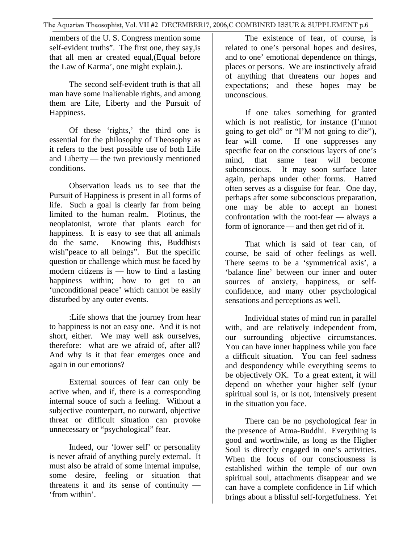members of the U. S. Congress mention some self-evident truths". The first one, they say,is that all men ar created equal,(Equal before the Law of Karma', one might explain.).

The second self-evident truth is that all man have some inalienable rights, and among them are Life, Liberty and the Pursuit of Happiness.

Of these 'rights,' the third one is essential for the philosophy of Theosophy as it refers to the best possible use of both Life and Liberty — the two previously mentioned conditions.

Observation leads us to see that the Pursuit of Happiness is present in all forms of life. Such a goal is clearly far from being limited to the human realm. Plotinus, the neoplatonist, wrote that plants earch for happiness. It is easy to see that all animals do the same. Knowing this, Buddhists wish"peace to all beings". But the specific question or challenge which must be faced by modern citizens is — how to find a lasting happiness within; how to get to an 'unconditional peace' which cannot be easily disturbed by any outer events.

:Life shows that the journey from hear to happiness is not an easy one. And it is not short, either. We may well ask ourselves, therefore: what are we afraid of, after all? And why is it that fear emerges once and again in our emotions?

External sources of fear can only be active when, and if, there is a corresponding internal souce of such a feeling. Without a subjective counterpart, no outward, objective threat or difficult situation can provoke unnecessary or "psychological" fear.

Indeed, our 'lower self' or personality is never afraid of anything purely external. It must also be afraid of some internal impulse, some desire, feeling or situation that threatens it and its sense of continuity — 'from within'.

The existence of fear, of course, is related to one's personal hopes and desires, and to one' emotional dependence on things, places or persons. We are instinctively afraid of anything that threatens our hopes and expectations; and these hopes may be unconscious.

If one takes something for granted which is not realistic, for instance (I'mnot going to get old" or "I'M not going to die"), fear will come. If one suppresses any specific fear on the conscious layers of one's mind, that same fear will become subconscious. It may soon surface later again, perhaps under other forms. Hatred often serves as a disguise for fear. One day, perhaps after some subconscious preparation, one may be able to accept an honest confrontation with the root-fear — always a form of ignorance—and then get rid of it.

That which is said of fear can, of course, be said of other feelings as well. There seems to be a 'symmetrical axis', a 'balance line' between our inner and outer sources of anxiety, happiness, or selfconfidence, and many other psychological sensations and perceptions as well.

Individual states of mind run in parallel with, and are relatively independent from, our surrounding objective circumstances. You can have inner happiness while you face a difficult situation. You can feel sadness and despondency while everything seems to be objectively OK. To a great extent, it will depend on whether your higher self (your spiritual soul is, or is not, intensively present in the situation you face.

There can be no psychological fear in the presence of Atma-Buddhi. Everything is good and worthwhile, as long as the Higher Soul is directly engaged in one's activities. When the focus of our consciousness is established within the temple of our own spiritual soul, attachments disappear and we can have a complete confidence in Lif which brings about a blissful self-forgetfulness. Yet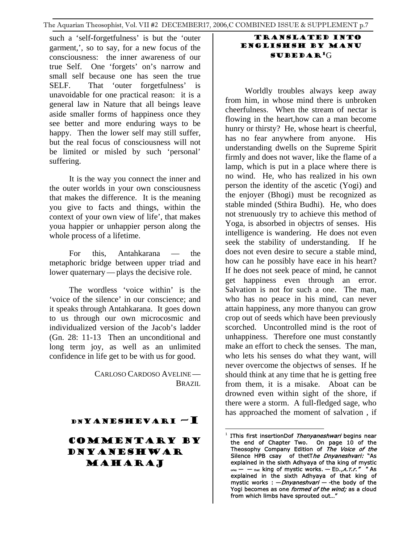such a 'self-forgetfulness' is but the 'outer garment,', so to say, for a new focus of the consciousness: the inner awareness of our true Self. One 'forgets' on's narrow and small self because one has seen the true SELF. That 'outer forgetfulness' is unavoidable for one practical reason: it is a general law in Nature that all beings leave aside smaller forms of happiness once they see better and more enduring ways to be happy. Then the lower self may still suffer, but the real focus of consciousness will not be limited or misled by such 'personal' suffering.

It is the way you connect the inner and the outer worlds in your own consciousness that makes the difference. It is the meaning you give to facts and things, within the context of your own view of life', that makes youa happier or unhappier person along the whole process of a lifetime.

For this, Antahkarana — the metaphoric bridge between upper triad and lower quaternary—plays the decisive role.

The wordless 'voice within' is the 'voice of the silence' in our conscience; and it speaks through Antahkarana. It goes down to us through our own microcosmic and individualized version of the Jacob's ladder (Gn. 28: 11-13 Then an unconditional and long term joy, as well as an unlimited confidence in life get to be with us for good.

> CARLOSO CARDOSO AVELINE— BRAZIL

## DNYANESHEVARI —I

<span id="page-5-0"></span>COMMENTARY BY DNYANESHWAR MAHARAJ

## Translated inTO ENGLISHsh by Manu subedaR[1](#page-5-0)G

Worldly troubles always keep away from him, in whose mind there is unbroken cheerfulness. When the stream of nectar is flowing in the heart,how can a man become hunry or thirsty? He, whose heart is cheerful, has no fear anywhere from anyone. His understanding dwells on the Supreme Spirit firmly and does not waver, like the flame of a lamp, which is put in a place where there is no wind. He, who has realized in his own person the identity of the ascetic (Yogi) and the enjoyer (Bhogi) must be recognized as stable minded (Sthira Budhi). He, who does not strenuously try to achieve this method of Yoga, is absorbed in objectrs of senses. His intelligence is wandering. He does not even seek the stability of understanding. If he does not even desire to secure a stable mind, how can he possibly have eace in his heart? If he does not seek peace of mind, he cannot get happiness even through an error. Salvation is not for such a one. The man, who has no peace in his mind, can never attain happiness, any more thanyou can grow crop out of seeds which have been previously scorched. Uncontrolled mind is the root of unhappiness. Therefore one must constantly make an effort to check the senses. The man, who lets his senses do what they want, will never overcome the objectws of senses. If he should think at any time that he is getting free from them, it is a misake. Aboat can be drowned even within sight of the shore, if there were a storm. A full-fledged sage, who has approached the moment of salvation , if

 $\overline{a}$ <sup>1</sup> IThis first insertionDof *Thenyaneshwari* begins near the end of Chapter Two. On page 10 of the Theosophy Company Edition of The Voice of the Silence HPB csay of thetThe Dnyaneshvari: "As explained in the sixth Adhyaya of tha king of mystic  $-$  — that king of mystic works. — ED.,A.T.r." " As explained in the sixth Adhyaya of that king of mystic works :  $-Dnyaneshvari -$  the body of the Yogi becomes as one formed of the wind; as a cloud from which limbs have sprouted out…"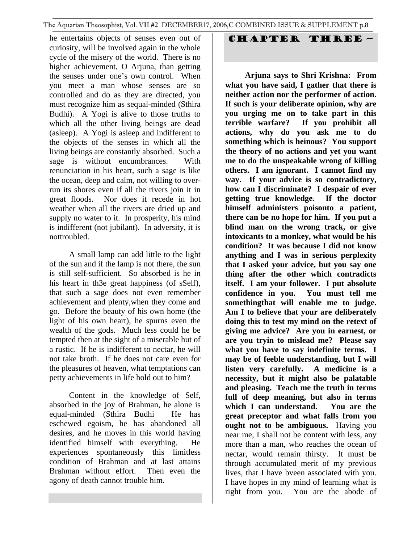he entertains objects of senses even out of curiosity, will be involved again in the whole cycle of the misery of the world. There is no higher achievement, O Arjuna, than getting the senses under one's own control. When you meet a man whose senses are so controlled and do as they are directed, you must recognize him as sequal-minded (Sthira Budhi). A Yogi is alive to those truths to which all the other living beings are dead (asleep). A Yogi is asleep and indifferent to the objects of the senses in which all the living beings are constantly absorbed. Such a sage is without encumbrances. With renunciation in his heart, such a sage is like the ocean, deep and calm, not willing to overrun its shores even if all the rivers join it in great floods. Nor does it recede in hot weather when all the rivers are dried up and supply no water to it. In prosperity, his mind is indifferent (not jubilant). In adversity, it is nottroubled.

A small lamp can add little to the light of the sun and if the lamp is not there, the sun is still self-sufficient. So absorbed is he in his heart in th3e great happiness (of sSelf), that such a sage does not even remember achievement and plenty,when they come and go. Before the beauty of his own home (the light of his own heart), he spurns even the wealth of the gods. Much less could he be tempted then at the sight of a miserable hut of a rustic. If he is indifferent to nectar, he will not take broth. If he does not care even for the pleasures of heaven, what temptations can petty achievements in life hold out to him?

Content in the knowledge of Self, absorbed in the joy of Brahman, he alone is equal-minded (Sthira Budhi He has eschewed egoism, he has abandoned all desires, and he moves in this world having identified himself with everything. He experiences spontaneously this limitless condition of Brahman and at last attains Brahman without effort. Then even the agony of death cannot trouble him.

# Chapter three —

**Arjuna says to Shri Krishna: From what you have said, I gather that there is neither action nor the performer of action. If such is your deliberate opinion, why are you urging me on to take part in this terrible warfare? If you prohibit all actions, why do you ask me to do something which is heinous? You support the theory of no actions and yet you want me to do the unspeakable wrong of killing others. I am ignorant. I cannot find my way. If your advice is so contradictory, how can I discriminate? I despair of ever getting true knowledge. If the doctor himself administers poisonto a patient, there can be no hope for him. If you put a blind man on the wrong track, or give intoxicants to a monkey, what would be his condition? It was because I did not know anything and I was in serious perplexity that I asked your advice, but you say one thing after the other which contradicts itself. I am your follower. I put absolute confidence in you. You must tell me somethingthat will enable me to judge. Am I to believe that your are deliberately doing this to test my mind on the retext of giving me advice? Are you in earnest, or are you tryin to mislead me? Please say what you have to say indefinite terms. I may be of feeble understanding, but I will listen very carefully. A medicine is a necessity, but it might also be palatable and pleasing. Teach me the truth in terms full of deep meaning, but also in terms which I can understand. You are the great preceptor and what falls from you ought not to be ambiguous.** Having you near me, I shall not be content with less, any more than a man, who reaches the ocean of nectar, would remain thirsty. It must be through accumulated merit of my previous lives, that I have bveen associated with you. I have hopes in my mind of learning what is right from you. You are the abode of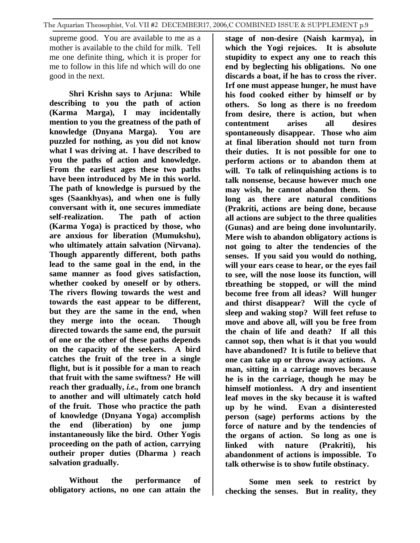supreme good. You are available to me as a mother is available to the child for milk. Tell me one definite thing, which it is proper for me to follow in this life nd which will do one good in the next.

**Shri Krishn says to Arjuna: While describing to you the path of action (Karma Marga), I may incidentally mention to you the greatness of the path of knowledge (Dnyana Marga). You are puzzled for nothing, as you did not know what I was driving at. I have described to you the paths of action and knowledge. From the earliest ages these two paths have been introduced by Me in this world. The path of knowledge is pursued by the sges (Saankhyas), and when one is fully conversant with it, one secures immediate self-realization. The path of action (Karma Yoga) is practiced by those, who are anxious for liberation (Mumukshu), who ultimately attain salvation (Nirvana). Though apparently different, both paths lead to the same goal in the end, in the same manner as food gives satisfaction, whether cooked by oneself or by others. The rivers flowing towards the west and towards the east appear to be different, but they are the same in the end, when they merge into the ocean. Though directed towards the same end, the pursuit of one or the other of these paths depends on the capacity of the seekers. A bird catches the fruit of the tree in a single flight, but is it possible for a man to reach that fruit with the same swiftness? He will reach ther gradually,** *i.e.,* **from one branch to another and will ultimately catch hold of the fruit. Those who practice the path of knowledge (Dnyana Yoga) accomplish the end (liberation) by one jump instantaneously like the bird. Other Yogis proceeding on the path of action, carrying outheir proper duties (Dharma ) reach salvation gradually.** 

**Without the performance of obligatory actions, no one can attain the**  **stage of non-desire (Naish karmya), in which the Yogi rejoices. It is absolute stupidity to expect any one to reach this end by beglecting his obligations. No one discards a boat, if he has to cross the river. Irf one must appease hunger, he must have his food cooked either by himself or by others. So long as there is no freedom from desire, there is action, but when contentment arises all desires spontaneously disappear. Those who aim at final liberation should not turn from their duties. It is not possible for one to perform actions or to abandon them at will. To talk of relinquishing actions is to talk nonsense, because however much one may wish, he cannot abandon them. So long as there are natural conditions (Prakriti, actions are being done, because all actions are subject to the three qualities (Gunas) and are being done involuntarily. Mere wish to abandon obligatory actions is not going to alter the tendencies of the senses. If you said you would do nothing, will your ears cease to hear, or the eyes fail to see, will the nose loose its function, will tbreathing be stopped, or will the mind become free from all ideas? Will hunger and thirst disappear? Will the cycle of sleep and waking stop? Will feet refuse to move and above all, will you be free from the chain of life and death? If all this cannot sop, then what is it that you would have abandoned? It is futile to believe that one can take up or throw away actions. A man, sitting in a carriage moves because he is in the carriage, though he may be himself motionless. A dry and insentient leaf moves in the sky because it is wafted up by he wind. Evan a disinterested person (sage) performs actions by the force of nature and by the tendencies of the organs of action. So long as one is linked with nature (Prakriti), his abandonment of actions is impossible. To talk otherwise is to show futile obstinacy.** 

 **Some men seek to restrict by checking the senses. But in reality, they**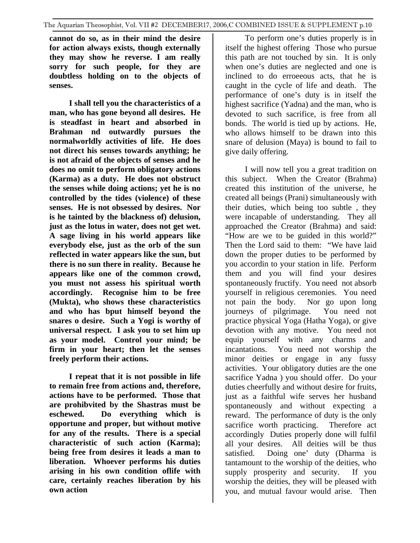**cannot do so, as in their mind the desire for action always exists, though externally they may show he reverse. I am really sorry for such people, for they are doubtless holding on to the objects of senses.** 

**I shall tell you the characteristics of a man, who has gone beyond all desires. He is steadfast in heart and absorbed in Brahman nd outwardly pursues the normalworldly activities of life. He does not direct his senses towards anything; he is not afraid of the objects of senses and he does no omit to perform obligatory actions (Karma) as a duty. He does not obstruct the senses while doing actions; yet he is no controlled by the tides (violence) of these senses. He is not obsessed by desires. Nor is he tainted by the blackness of) delusion, just as the lotus in water, does not get wet. A sage living in his world appears like everybody else, just as the orb of the sun reflected in water appears like the sun, but there is no sun there in reality. Because he appears like one of the common crowd, you must not assess his spiritual worth accordingly. Recognise him to be free (Mukta), who shows these characteristics and who has bput himself beyond the snares o desire. Such a Yogi is worthy of universal respect. I ask you to set him up as your model. Control your mind; be firm in your heart; then let the senses freely perform their actions.** 

**I repeat that it is not possible in life to remain free from actions and, therefore, actions have to be performed. Those that are prohibvited by the Shastras must be eschewed. Do everything which is opportune and proper, but without motive for any of the results. There is a special characteristic of such action (Karma); being free from desires it leads a man to liberation. Whoever performs his duties arising in his own condition oflife with care, certainly reaches liberation by his own action** 

To perform one's duties properly is in itself the highest offering Those who pursue this path are not touched by sin. It is only when one's duties are neglected and one is inclined to do erroeeous acts, that he is caught in the cycle of life and death. The performance of one's duty is in itself the highest sacrifice (Yadna) and the man, who is devoted to such sacrifice, is free from all bonds. The world is tied up by actions. He, who allows himself to be drawn into this snare of delusion (Maya) is bound to fail to give daily offering.

I will now tell you a great tradition on this subject. When the Creator (Brahma) created this institution of the universe, he created all beings (Prani) simultaneously with their duties, which being too subtle , they were incapable of understanding. They all approached the Creator (Brahma) and said: "How are we to be guided in this world?" Then the Lord said to them: "We have laid down the proper duties to be performed by you accordin to your station in life. Perform them and you will find your desires spontaneously fructify. You need not absorb yourself in religious ceremonies. You need not pain the body. Nor go upon long journeys of pilgrimage. You need not practice physical Yoga (Hatha Yoga), or give devotion with any motive. You need not equip yourself with any charms and incantations. You need not worship the minor deities or engage in any fussy activities. Your obligatory duties are the one sacrifice Yadna ) you should offer. Do your duties cheerfully and without desire for fruits, just as a faithful wife serves her husband spontaneously and without expecting a reward. The performance of duty is the only sacrifice worth practicing. Therefore act accordingly Duties properly done will fulfil all your desires. All deities will be thus satisfied. Doing one' duty (Dharma is tantamount to the worship of the deities, who supply prosperity and security. If you worship the deities, they will be pleased with you, and mutual favour would arise. Then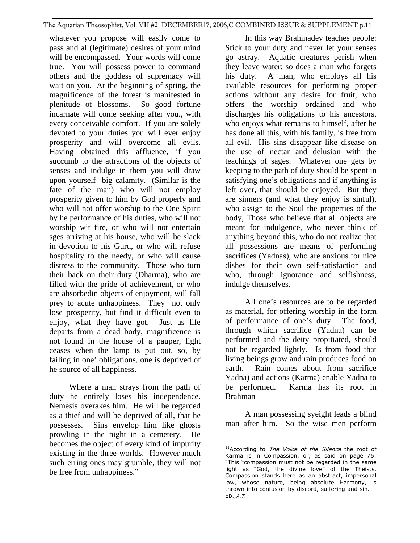whatever you propose will easily come to pass and al (legitimate) desires of your mind will be encompassed. Your words will come true. You will possess power to command others and the goddess of supremacy will wait on you. At the beginning of spring, the magnificence of the forest is manifested in plenitude of blossoms. So good fortune incarnate will come seeking after you., with every conceivable comfort. If you are solely devoted to your duties you will ever enjoy prosperity and will overcome all evils. Having obtained this affluence, if you succumb to the attractions of the objects of senses and indulge in them you will draw upon yourself big calamity. (Similar is the fate of the man) who will not employ prosperity given to him by God properly and who will not offer worship to the One Spirit by he performance of his duties, who will not worship wit fire, or who will not entertain sges arriving at his house, who will be slack in devotion to his Guru, or who will refuse hospitality to the needy, or who will cause distress to the community. Those who turn their back on their duty (Dharma), who are filled with the pride of achievement, or who are absorbedin objects of enjoyment, will fall prey to acute unhappiness. They not only lose prosperity, but find it difficult even to enjoy, what they have got. Just as life departs from a dead body, magnificence is not found in the house of a pauper, light ceases when the lamp is put out, so, by failing in one' obligations, one is deprived of he source of all happiness.

<span id="page-9-0"></span>Where a man strays from the path of duty he entirely loses his independence. Nemesis overakes him. He will be regarded as a thief and will be deprived of all, that he possesses. Sins envelop him like ghosts prowling in the night in a cemetery. He becomes the object of every kind of impurity existing in the three worlds. However much such erring ones may grumble, they will not be free from unhappiness."

In this way Brahmadev teaches people: Stick to your duty and never let your senses go astray. Aquatic creatures perish when they leave water; so does a man who forgets his duty. A man, who employs all his available resources for performing proper actions without any desire for fruit, who offers the worship ordained and who discharges his obligations to his ancestors, who enjoys what remains to himself, after he has done all this, with his family, is free from all evil. His sins disappear like disease on the use of nectar and delusion with the teachings of sages. Whatever one gets by keeping to the path of duty should be spent in satisfying one's obligations and if anything is left over, that should be enjoyed. But they are sinners (and what they enjoy is sinful), who assign to the Soul the properties of the body, Those who believe that all objects are meant for indulgence, who never think of anything beyond this, who do not realize that all possessions are means of performing sacrifices (Yadnas), who are anxious for nice dishes for their own self-satisfaction and who, through ignorance and selfishness, indulge themselves.

All one's resources are to be regarded as material, for offering worship in the form of performance of one's duty. The food, through which sacrifice (Yadna) can be performed and the deity propitiated, should not be regarded lightly. Is from food that living beings grow and rain produces food on earth. Rain comes about from sacrifice Yadna) and actions (Karma) enable Yadna to be performed. Karma has its root in  $B$ rahman $<sup>1</sup>$  $<sup>1</sup>$  $<sup>1</sup>$ </sup>

A man possessing syeight leads a blind man after him. So the wise men perform

 $\overline{a}$  $11$ According to The Voice of the Silence the root of Karma is in Compassion, or, as said on page 76: "This "compassion must not be regarded in the same light as "God, the divine love" of the Theists. Compassion stands here as an abstract, impersonal law, whose nature, being absolute Harmony, is thrown into confusion by discord, suffering and sin. — ED.,<sup>A</sup>.T.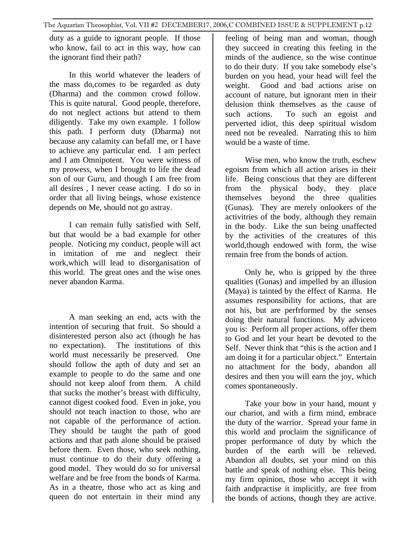duty as a guide to ignorant people. If those who know, fail to act in this way, how can the ignorant find their path?

In this world whatever the leaders of the mass do,comes to be regarded as duty (Dharma) and the common crowd follow. This is quite natural. Good people, therefore, do not neglect actions but attend to them diligently. Take my own example. I follow this path. I perform duty (Dharma) not because any calamity can befall me, or I have to achieve any particular end. I am perfect and I am Omnipotent. You were witness of my prowess, when I brought to life the dead son of our Guru, and though I am free from all desires , I never cease acting. I do so in order that all living beings, whose existence depends on Me, should not go astray.

I can remain fully satisfied with Self, but that would be a bad example for other people. Noticing my conduct, people will act in imitation of me and neglect their work,which will lead to disorganisation of this world. The great ones and the wise ones never abandon Karma.

A man seeking an end, acts with the intention of securing that fruit. So should a disinterested person also act (though he has no expectation). The institutions of this world must necessarily be preserved. One should follow the apth of duty and set an example to people to do the same and one should not keep aloof from them. A child that sucks the mother's breast with difficulty, cannot digest cooked food. Even in joke, you should not teach inaction to those, who are not capable of the performance of action. They should be taught the path of good actions and that path alone should be praised before them. Even those, who seek nothing, must continue to do their duty offering a good model. They would do so for universal welfare and be free from the bonds of Karma. As in a theatre, those who act as king and queen do not entertain in their mind any

feeling of being man and woman, though they succeed in creating this feeling in the minds of the audience, so the wise continue to do their duty. If you take somebody else's burden on you head, your head will feel the weight. Good and bad actions arise on account of nature, but ignorant men in their delusion think themselves as the cause of such actions. To such an egoist and perverted idiot, this deep spiritual wisdom need not be revealed. Narrating this to him would be a waste of time.

Wise men, who know the truth, eschew egoism from which all action arises in their life. Being conscious that they are different from the physical body, they place themselves beyond the three qualities (Gunas). They are merely onlookers of the activitries of the body, although they remain in the body. Like the sun being unaffected by the activities of the creatures of this world,though endowed with form, the wise remain free from the bonds of action.

Only he, who is gripped by the three qualities (Gunas) and impelled by an illusion (Maya) is tainted by the effect of Karma. He assumes responsibility for actions, that are not his, but are perfrformed by the senses doing their natural functions. My adviceto you is: Perform all proper actions, offer them to God and let your heart be devoted to the Self. Never think that "this is the action and I am doing it for a particular object." Entertain no attachment for the body, abandon all desires and then you will earn the joy, which comes spontaneously.

Take your bow in your hand, mount y our chariot, and with a firm mind, embrace the duty of the warrior. Spread your fame in this world and proclaim the significance of proper performance of duty by which the burden of the earth will be relieved. Abandon all doubts, set your mind on this battle and speak of nothing else. This being my firm opinion, those who accept it with faith andpractise it implicitly, are free from the bonds of actions, though they are active.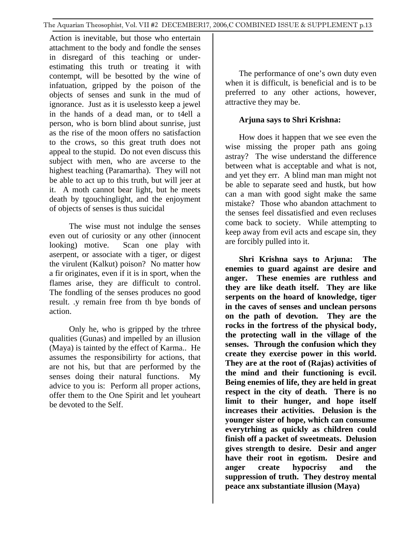Action is inevitable, but those who entertain attachment to the body and fondle the senses in disregard of this teaching or underestimating this truth or treating it with contempt, will be besotted by the wine of infatuation, gripped by the poison of the objects of senses and sunk in the mud of ignorance. Just as it is uselessto keep a jewel in the hands of a dead man, or to t4ell a person, who is born blind about sunrise, just as the rise of the moon offers no satisfaction to the crows, so this great truth does not appeal to the stupid. Do not even discuss this subject with men, who are avcerse to the highest teaching (Paramartha). They will not be able to act up to this truth, but will jeer at it. A moth cannot bear light, but he meets death by tgouchinglight, and the enjoyment of objects of senses is thus suicidal

The wise must not indulge the senses even out of curiosity or any other (innocent looking) motive. Scan one play with aserpent, or associate with a tiger, or digest the virulent (Kalkut) poison? No matter how a fir originates, even if it is in sport, when the flames arise, they are difficult to control. The fondling of the senses produces no good result. .y remain free from th bye bonds of action.

Only he, who is gripped by the trhree qualities (Gunas) and impelled by an illusion (Maya) is tainted by the effect of Karma.. He assumes the responsibilirty for actions, that are not his, but that are performed by the senses doing their natural functions. My advice to you is: Perform all proper actions, offer them to the One Spirit and let youheart be devoted to the Self.

The performance of one's own duty even when it is difficult, is beneficial and is to be preferred to any other actions, however, attractive they may be.

## **Arjuna says to Shri Krishna:**

How does it happen that we see even the wise missing the proper path ans going astray? The wise understand the difference between what is acceptable and what is not, and yet they err. A blind man man might not be able to separate seed and hustk, but how can a man with good sight make the same mistake? Those who abandon attachment to the senses feel dissatisfied and even recluses come back to society. While attempting to keep away from evil acts and escape sin, they are forcibly pulled into it.

**Shri Krishna says to Arjuna: The enemies to guard against are desire and anger. These enemies are ruthless and they are like death itself. They are like serpents on the hoard of knowledge, tiger in the caves of senses and unclean persons on the path of devotion. They are the rocks in the fortress of the physical body, the protecting wall in the village of the senses. Through the confusion which they create they exercise power in this world. They are at the root of (Rajas) activities of the mind and their functioning is evcil. Being enemies of life, they are held in great respect in the city of death. There is no limit to their hunger, and hope itself increases their activities. Delusion is the younger sister of hope, which can consume everytrhing as quickly as children could finish off a packet of sweetmeats. Delusion gives strength to desire. Desir and anger have their root in egotism. Desire and anger create hypocrisy and the suppression of truth. They destroy mental peace anx substantiate illusion (Maya)**